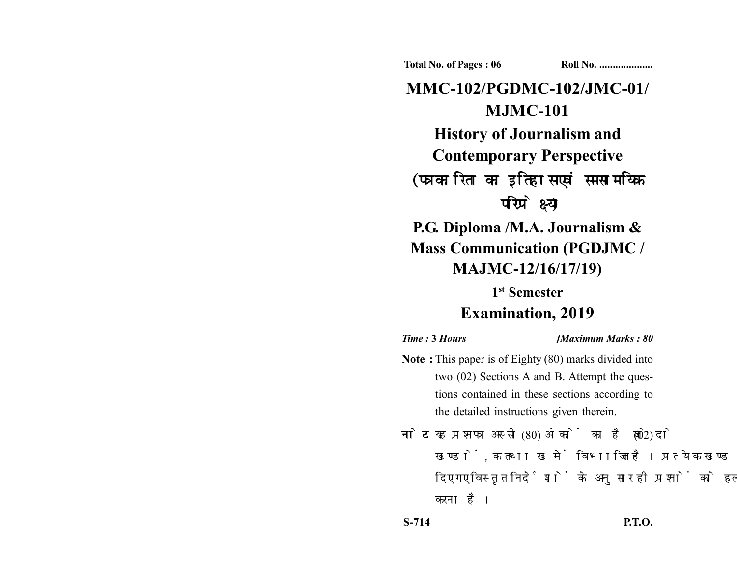**Total No. of Pages : 06 Roll No. ...................** 

**MMC-102/PGDMC-102/JMC-01/ MJMC-101 History of Journalism and Contemporary Perspective** (पत्रकारिता का इतिहास एवं समसामयिक परिप्रेक्ष्य) **P.G. Diploma /M.A. Journalism & Mass Communication (PGDJMC /**

**MAJMC-12/16/17/19)**

**1st Semester**

# **Examination, 2019**

*Time :* **3** *Hours [Maximum Marks : 80*

- **Note :** This paper is of Eighty (80) marks divided into two (02) Sections A and B. Attempt the questions contained in these sections according to the detailed instructions given therein.
- नोट: यह प्रश्नपत्र अस्सी (80) अंकों का है जो दो (02) खण्डों, क तथा ख में विभाजित है। प्रत्येक खण्ड में दिए गए विस्तृत निर्देशों के अनुसार ही प्रश्नों को हल करना है।

**S-714 P.T.O.**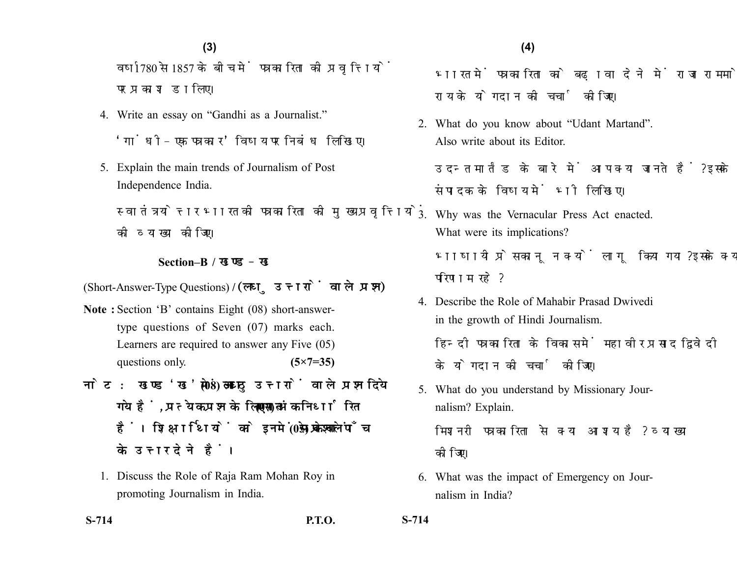### **(4)(3)**

वर्ष 1780 से 1857 के बीच में पत्रकारिता की प्रवृत्तियों पर प्रकाश डालिए।

- 4. Write an essay on "Gandhi as a Journalist." 'गांधी-एक पत्रकार' विषय पर निबंध लिखिए।
- 5. Explain the main trends of Journalism of Post Independence India.

स्वातंत्रयोत्तर भारत की पत्रकारिता की मुख्य प्रवृत्तियों को व्याख्या कोजिए।

#### **Section–B /**

(Short-Answer-Type Questions) **/** 

- **Note :** Section 'B' contains Eight (08) short-answertype questions of Seven (07) marks each. Learners are required to answer any Five (05) questions only. **(5×7=35)**
- नोट: खण्ड'ख' में आठ (08) लघु उत्तरों वाले प्रश्न दिये गये हैं. प्रत्येक प्रश्न के लिए सात (07) अंक निर्धारित हैं। शिक्षार्थियों को इनमें से केवल पाँच (05) प्रश्नों के उत्तर देने हैं।
	- 1. Discuss the Role of Raja Ram Mohan Roy in promoting Journalism in India.

भारत में पत्रकारिता को बढ़ावा देने में राजा राममोहन राय के योगदान की चर्चा कीजिए।

2. What do you know about "Udant Martand". Also write about its Editor.

उदन्त मार्तंड के बारे में आप क्या जानते हैं? इसके संपादक के विषय में भी लिखिए।

- 3. Why was the Vernacular Press Act enacted. What were its implications? भाषायी प्रेस कानून क्यों लागू किया गया? इसके क्या परिणाम रहे?
- 4. Describe the Role of Mahabir Prasad Dwivedi in the growth of Hindi Journalism. हिन्दी पत्रकारिता के विकास में महावीर प्रसाद द्विवेदी के योगदान की चर्चा कीजिए।
- 5. What do you understand by Missionary Journalism? Explain. मिशनरी पत्रकारिता से क्या आशय है? व्याख्या

कोजिए।

6. What was the impact of Emergency on Journalism in India?

**S-714 P.T.O. S-714**